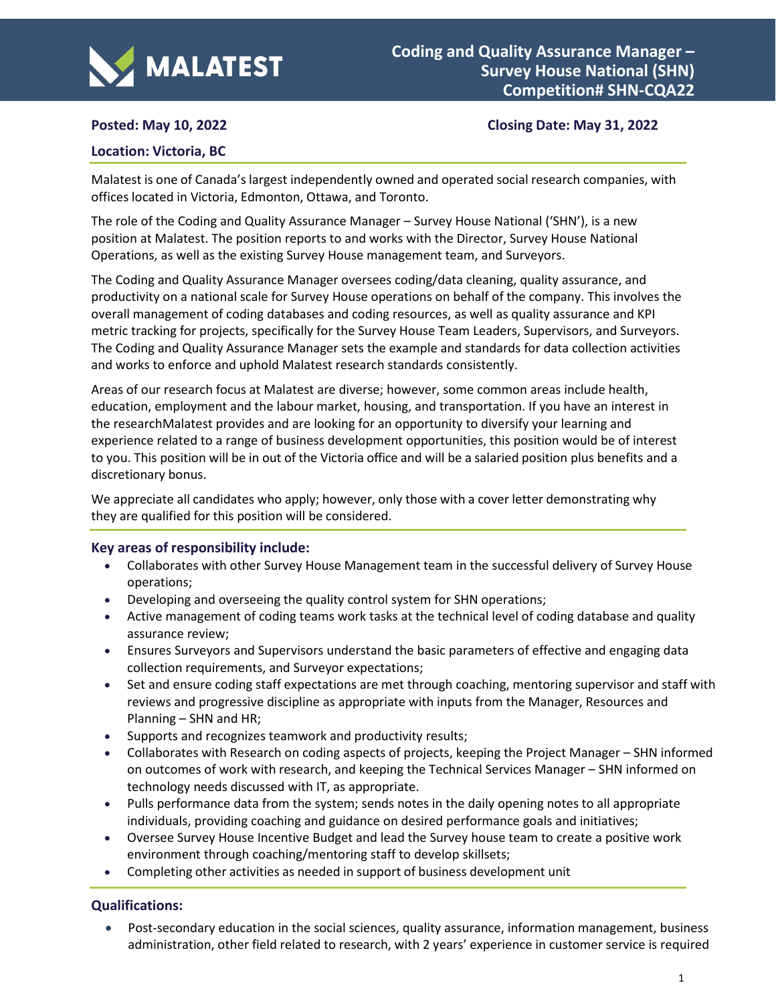

# **Posted:** May 10, 2022 *ADDE22* **Closing Date:** May 31, 2022

#### **Location: Victoria, BC**

Malatest is one of Canada's largest independently owned and operated social research companies, with offices located in Victoria, Edmonton, Ottawa, and Toronto.

The role of the Coding and Quality Assurance Manager – Survey House National ('SHN'), is a new position at Malatest. The position reports to and works with the Director, Survey House National Operations, as well as the existing Survey House management team, and Surveyors.

The Coding and Quality Assurance Manager oversees coding/data cleaning, quality assurance, and productivity on a national scale for Survey House operations on behalf of the company. This involves the overall management of coding databases and coding resources, as well as quality assurance and KPI metric tracking for projects, specifically for the Survey House Team Leaders, Supervisors, and Surveyors. The Coding and Quality Assurance Manager sets the example and standards for data collection activities and works to enforce and uphold Malatest research standards consistently.

Areas of our research focus at Malatest are diverse; however, some common areas include health, education, employment and the labour market, housing, and transportation. If you have an interest in the researchMalatest provides and are looking for an opportunity to diversify your learning and experience related to a range of business development opportunities, this position would be of interest to you. This position will be in out of the Victoria office and will be a salaried position plus benefits and a discretionary bonus.

We appreciate all candidates who apply; however, only those with a cover letter demonstrating why they are qualified for this position will be considered.

#### **Key areas of responsibility include:**

- Collaborates with other Survey House Management team in the successful delivery of Survey House operations;
- Developing and overseeing the quality control system for SHN operations;
- Active management of coding teams work tasks at the technical level of coding database and quality assurance review;
- Ensures Surveyors and Supervisors understand the basic parameters of effective and engaging data collection requirements, and Surveyor expectations;
- Set and ensure coding staff expectations are met through coaching, mentoring supervisor and staff with reviews and progressive discipline as appropriate with inputs from the Manager, Resources and Planning – SHN and HR;
- Supports and recognizes teamwork and productivity results;
- Collaborates with Research on coding aspects of projects, keeping the Project Manager SHN informed on outcomes of work with research, and keeping the Technical Services Manager – SHN informed on technology needs discussed with IT, as appropriate.
- Pulls performance data from the system; sends notes in the daily opening notes to all appropriate individuals, providing coaching and guidance on desired performance goals and initiatives;
- Oversee Survey House Incentive Budget and lead the Survey house team to create a positive work environment through coaching/mentoring staff to develop skillsets;
- Completing other activities as needed in support of business development unit

## **Qualifications:**

• Post-secondary education in the social sciences, quality assurance, information management, business administration, other field related to research, with 2 years' experience in customer service is required